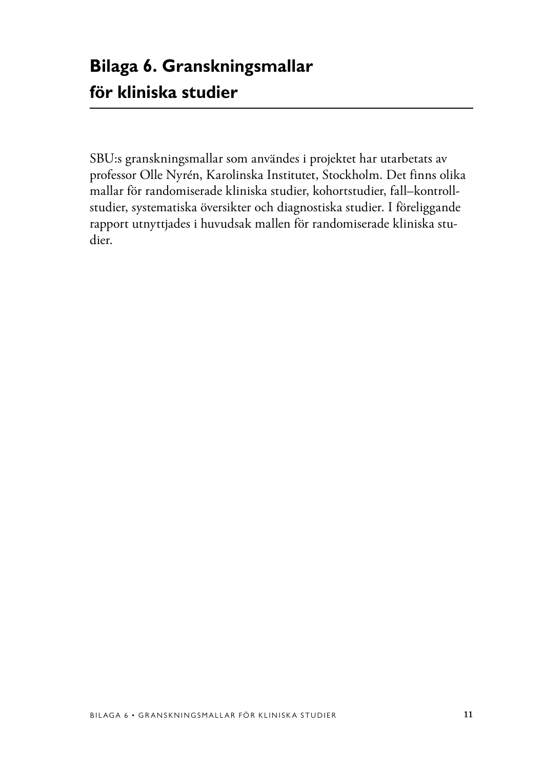SBU:s granskningsmallar som användes i projektet har utarbetats av professor Olle Nyrén, Karolinska Institutet, Stockholm. Det finns olika mallar för randomiserade kliniska studier, kohortstudier, fall–kontrollstudier, systematiska översikter och diagnostiska studier. I föreliggande rapport utnyttjades i huvudsak mallen för randomiserade kliniska studier.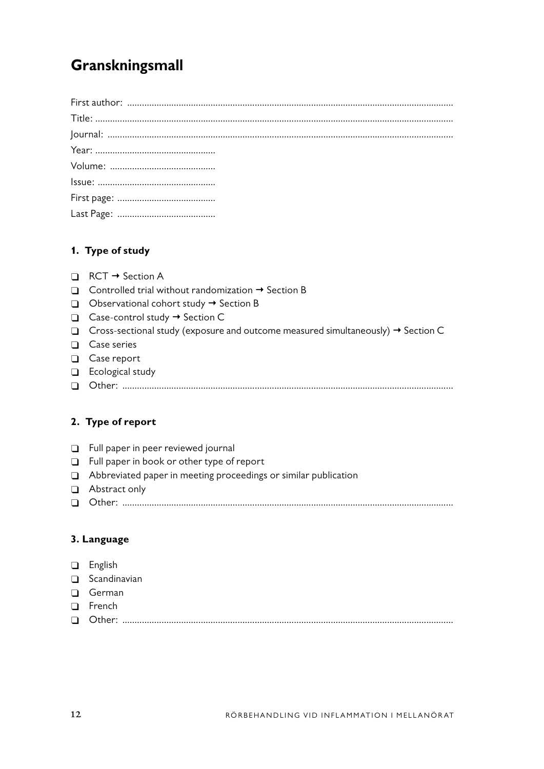# **Granskningsmall**

## **1. Type of study**

- $\Box$  RCT  $\rightarrow$  Section A
- $\Box$  Controlled trial without randomization  $\rightarrow$  Section B
- $\Box$  Observational cohort study  $\rightarrow$  Section B
- $\Box$  Case-control study  $\rightarrow$  Section C
- $\Box$  Cross-sectional study (exposure and outcome measured simultaneously)  $\rightarrow$  Section C
- $\Box$  Case series
- □ Case report
- $\Box$  Ecological study
- � Other: .......................................................................................................................................

## **2. Type of report**

- **D** Full paper in peer reviewed journal
- □ Full paper in book or other type of report
- Abbreviated paper in meeting proceedings or similar publication
- Abstract only
- � Other: .......................................................................................................................................

### **3. Language**

- □ English
- $\Box$  Scandinavian
- $\Box$  German
- □ French
- � Other: .......................................................................................................................................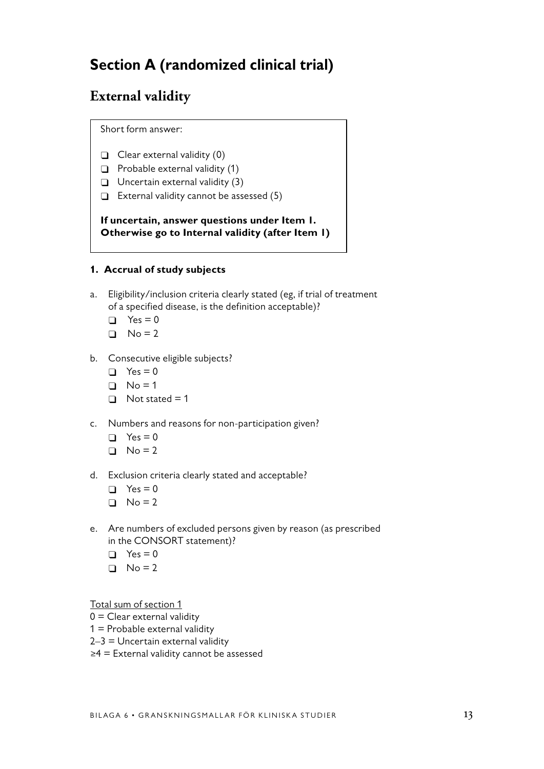# **Section A (randomized clinical trial)**

# **External validity**

Short form answer:

- $\Box$  Clear external validity (0)
- $\Box$  Probable external validity (1)
- $\Box$  Uncertain external validity (3)
- $\Box$  External validity cannot be assessed (5)

**If uncertain, answer questions under Item 1. Otherwise go to Internal validity (after Item 1)**

### **1. Accrual of study subjects**

- a. Eligibility/inclusion criteria clearly stated (eg, if trial of treatment of a specified disease, is the definition acceptable)?
	- $\Box$  Yes = 0
	- $\Box$  No = 2
- b. Consecutive eligible subjects?
	- $\Box$  Yes = 0
	- $\Box$  No = 1
	- $\Box$  Not stated = 1
- c. Numbers and reasons for non-participation given?
	- $\Box$  Yes = 0
	- $\Box$  No = 2
- d. Exclusion criteria clearly stated and acceptable?
	- $\Box$  Yes = 0
	- $\Box$  No = 2
- e. Are numbers of excluded persons given by reason (as prescribed in the CONSORT statement)?
	- $\Box$  Yes = 0
	- $\Box$  No = 2

Total sum of section 1

- $0 =$  Clear external validity
- $1$  = Probable external validity
- $2-3$  = Uncertain external validity
- ≥4 = External validity cannot be assessed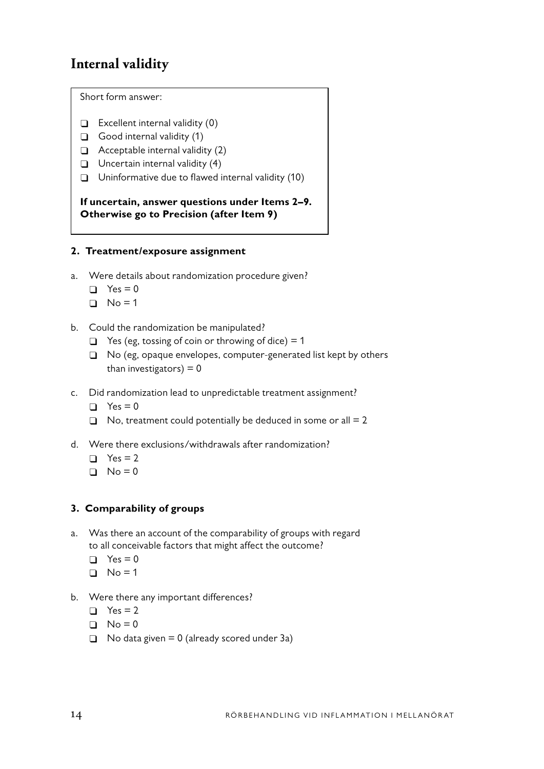# **Internal validity**

Short form answer:

- $\Box$  Excellent internal validity (0)
- $\Box$  Good internal validity (1)
- $\Box$  Acceptable internal validity (2)
- $\Box$  Uncertain internal validity (4)
- $\Box$  Uninformative due to flawed internal validity (10)

**If uncertain, answer questions under Items 2–9. Otherwise go to Precision (after Item 9)**

### **2. Treatment/exposure assignment**

- a. Were details about randomization procedure given?
	- $\Box$  Yes = 0
	- $\Box$  No = 1
- b. Could the randomization be manipulated?
	- $\Box$  Yes (eg, tossing of coin or throwing of dice) = 1
	- □ No (eg, opaque envelopes, computer-generated list kept by others than investigators)  $= 0$
- c. Did randomization lead to unpredictable treatment assignment?
	- $\Box$  Yes = 0
	- $\Box$  No, treatment could potentially be deduced in some or all = 2
- d. Were there exclusions/withdrawals after randomization?
	- $\Box$  Yes = 2
	- $\Box$  No = 0

### **3. Comparability of groups**

- a. Was there an account of the comparability of groups with regard to all conceivable factors that might affect the outcome?
	- $\Box$  Yes = 0
	- $\Box$  No = 1
- b. Were there any important differences?
	- $\Box$  Yes = 2
	- $\Box$  No = 0
	- $\Box$  No data given = 0 (already scored under 3a)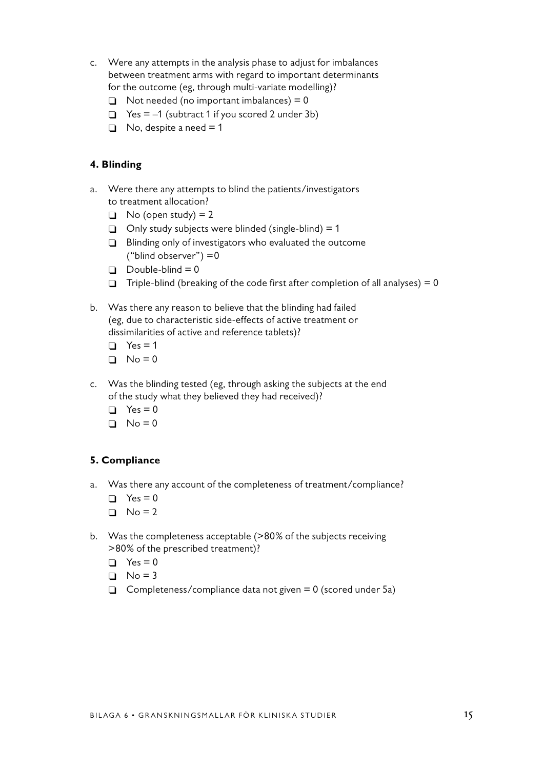- c. Were any attempts in the analysis phase to adjust for imbalances between treatment arms with regard to important determinants for the outcome (eg, through multi-variate modelling)?
	- $\Box$  Not needed (no important imbalances) = 0
	- $\Box$  Yes = -1 (subtract 1 if you scored 2 under 3b)
	- $\Box$  No, despite a need = 1

### **4. Blinding**

- a. Were there any attempts to blind the patients/investigators to treatment allocation?
	- $\Box$  No (open study) = 2
	- $\Box$  Only study subjects were blinded (single-blind) = 1
	- $\Box$  Blinding only of investigators who evaluated the outcome ("blind observer") =0
	- $\Box$  Double-blind = 0
	- $\Box$  Triple-blind (breaking of the code first after completion of all analyses) = 0
- b. Was there any reason to believe that the blinding had failed (eg, due to characteristic side-effects of active treatment or dissimilarities of active and reference tablets)?
	- $\Box$  Yes = 1
	- $\Box$  No = 0
- c. Was the blinding tested (eg, through asking the subjects at the end of the study what they believed they had received)?
	- $\Box$  Yes = 0
	- $\Box$  No = 0

#### **5. Compliance**

- a. Was there any account of the completeness of treatment/compliance?
	- $\Box$  Yes = 0
	- $\Box$  No = 2
- b. Was the completeness acceptable (>80% of the subjects receiving >80% of the prescribed treatment)?
	- $\Box$  Yes = 0
	- $\Box$  No = 3
	- $\Box$  Completeness/compliance data not given = 0 (scored under 5a)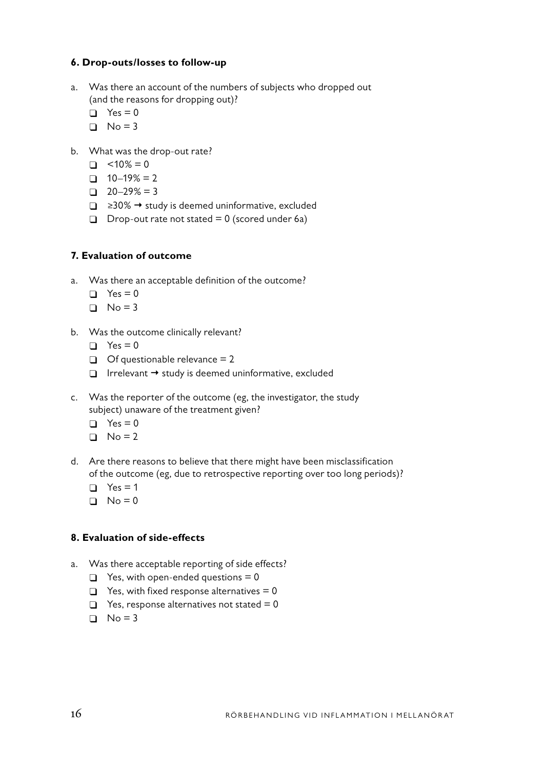### **6. Drop-outs/losses to follow-up**

- a. Was there an account of the numbers of subjects who dropped out (and the reasons for dropping out)?
	- $\Box$  Yes = 0
	- $\Box$  No = 3
- b. What was the drop-out rate?
	- $\Box$  <10% = 0
	- $\Box$  10–19% = 2
	- $\Box$  20–29% = 3
	- $\Box$  ≥30%  $\rightarrow$  study is deemed uninformative, excluded
	- $\Box$  Drop-out rate not stated = 0 (scored under 6a)

### **7. Evaluation of outcome**

- a. Was there an acceptable definition of the outcome?
	- $\Box$  Yes = 0
	- $\Box$  No = 3
- b. Was the outcome clinically relevant?
	- $\Box$  Yes = 0
	- $\Box$  Of questionable relevance = 2
	- $\Box$  Irrelevant  $\rightarrow$  study is deemed uninformative, excluded
- c. Was the reporter of the outcome (eg, the investigator, the study subject) unaware of the treatment given?
	- $\Box$  Yes = 0
	- $\Box$  No = 2
- d. Are there reasons to believe that there might have been misclassification of the outcome (eg, due to retrospective reporting over too long periods)?
	- $\Box$  Yes = 1
	- $\Box$  No = 0

### **8. Evaluation of side-effects**

- a. Was there acceptable reporting of side effects?
	- $\Box$  Yes, with open-ended questions = 0
	- $\Box$  Yes, with fixed response alternatives = 0
	- $\Box$  Yes, response alternatives not stated = 0
	- $\Box$  No = 3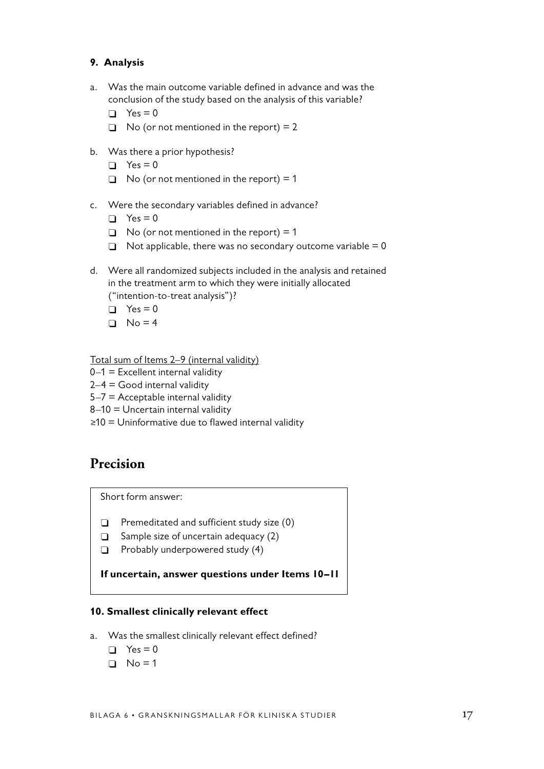### **9. Analysis**

- a. Was the main outcome variable defined in advance and was the conclusion of the study based on the analysis of this variable?
	- $\Box$  Yes = 0
	- $\Box$  No (or not mentioned in the report) = 2
- b. Was there a prior hypothesis?
	- $\Box$  Yes = 0
	- $\Box$  No (or not mentioned in the report) = 1
- c. Were the secondary variables defined in advance?
	- $\Box$  Yes = 0
	- $\Box$  No (or not mentioned in the report) = 1
	- $\Box$  Not applicable, there was no secondary outcome variable = 0
- d. Were all randomized subjects included in the analysis and retained in the treatment arm to which they were initially allocated ("intention-to-treat analysis")?
	- $\Box$  Yes = 0
	- $\Box$  No = 4

Total sum of Items 2-9 (internal validity)

- $0-1$  = Excellent internal validity
- $2-4 =$  Good internal validity
- $5-7$  = Acceptable internal validity
- 8–10 = Uncertain internal validity
- ≥10 = Uninformative due to flawed internal validity

## **Precision**

Short form answer:

- $\Box$  Premeditated and sufficient study size (0)
- $\Box$  Sample size of uncertain adequacy (2)
- $\Box$  Probably underpowered study (4)

**If uncertain, answer questions under Items 10–11**

#### **10. Smallest clinically relevant effect**

- a. Was the smallest clinically relevant effect defined?
	- $\Box$  Yes = 0
	- $\Box$  No = 1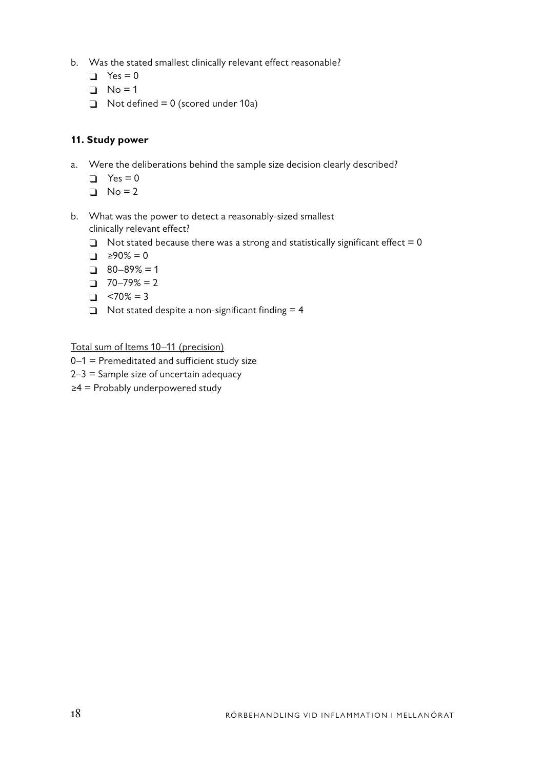- b. Was the stated smallest clinically relevant effect reasonable?
	- $\Box$  Yes = 0
	- $\Box$  No = 1
	- $\Box$  Not defined = 0 (scored under 10a)

## **11. Study power**

- a. Were the deliberations behind the sample size decision clearly described?
	- $\Box$  Yes = 0
	- $\Box$  No = 2
- b. What was the power to detect a reasonably-sized smallest clinically relevant effect?
	- $\Box$  Not stated because there was a strong and statistically significant effect = 0
	- $\Box$  ≥90% = 0
	- $\Box$  80–89% = 1
	- $\Box$  70–79% = 2
	- $\Box$  <70% = 3
	- $\Box$  Not stated despite a non-significant finding = 4

Total sum of Items 10–11 (precision)

- 0–1 = Premeditated and sufficient study size
- $2-3$  = Sample size of uncertain adequacy
- ≥4 = Probably underpowered study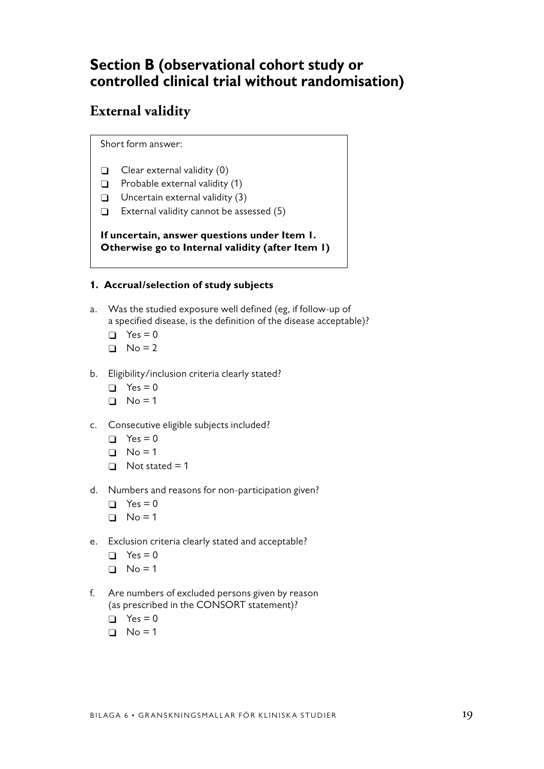# **Section B (observational cohort study or controlled clinical trial without randomisation)**

# **External validity**

Short form answer:

- $\Box$  Clear external validity  $(0)$
- $\Box$  Probable external validity (1)
- $\Box$  Uncertain external validity (3)
- $\Box$  External validity cannot be assessed (5)

**If uncertain, answer questions under Item 1. Otherwise go to Internal validity (after Item 1)**

### **1. Accrual/selection of study subjects**

- a. Was the studied exposure well defined (eg, if follow-up of a specified disease, is the definition of the disease acceptable)?
	- $\Box$  Yes = 0
	- $\Box$  No = 2
- b. Eligibility/inclusion criteria clearly stated?
	- $\Box$  Yes = 0
	- $\Box$  No = 1
- c. Consecutive eligible subjects included?
	- $\Box$  Yes = 0
	- $\Box$  No = 1
	- $\Box$  Not stated = 1
- d. Numbers and reasons for non-participation given?
	- $\Box$  Yes = 0
	- $\Box$  No = 1
- e. Exclusion criteria clearly stated and acceptable?
	- $\Box$  Yes = 0
	- $\Box$  No = 1
- f. Are numbers of excluded persons given by reason (as prescribed in the CONSORT statement)?
	- $\Box$  Yes = 0
	- $\Box$  No = 1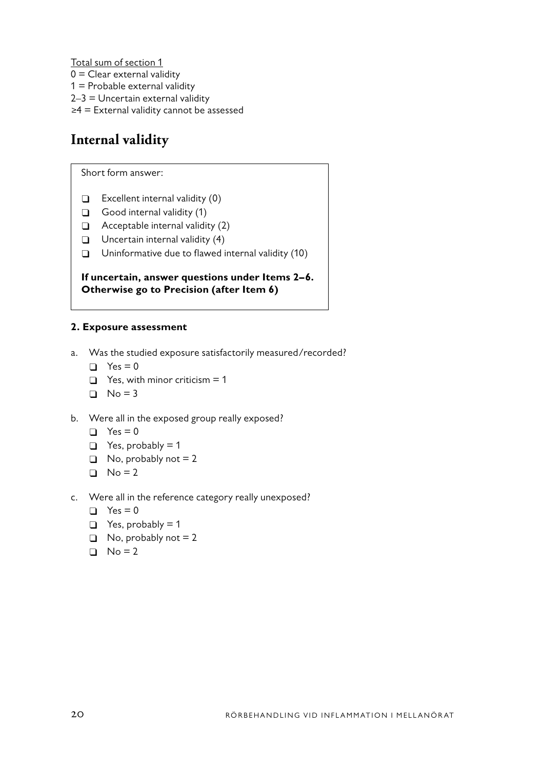Total sum of section 1

 $0 =$  Clear external validity

- $1$  = Probable external validity
- 2–3 = Uncertain external validity
- ≥4 = External validity cannot be assessed

# **Internal validity**

Short form answer:

- $\Box$  Excellent internal validity (0)
- $\Box$  Good internal validity (1)
- $\Box$  Acceptable internal validity (2)
- $\Box$  Uncertain internal validity (4)
- $\Box$  Uninformative due to flawed internal validity (10)

### **If uncertain, answer questions under Items 2–6. Otherwise go to Precision (after Item 6)**

### **2. Exposure assessment**

- a. Was the studied exposure satisfactorily measured/recorded?
	- $\Box$  Yes = 0
	- $\Box$  Yes, with minor criticism = 1
	- $\Box$  No = 3
- b. Were all in the exposed group really exposed?
	- $\Box$  Yes = 0
	- $\Box$  Yes, probably = 1
	- $\Box$  No, probably not = 2
	- $\Box$  No = 2
- c. Were all in the reference category really unexposed?
	- $\Box$  Yes = 0
	- $\Box$  Yes, probably = 1
	- $\Box$  No, probably not = 2
	- $\Box$  No = 2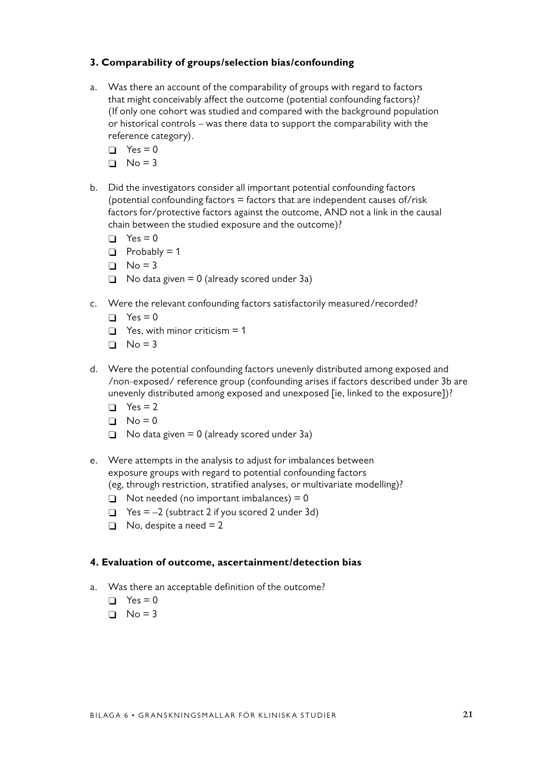### **3. Comparability of groups/selection bias/confounding**

- a. Was there an account of the comparability of groups with regard to factors that might conceivably affect the outcome (potential confounding factors)? (If only one cohort was studied and compared with the background population or historical controls – was there data to support the comparability with the reference category).
	- $\Box$  Yes = 0
	- $\Box$  No = 3
- b. Did the investigators consider all important potential confounding factors (potential confounding factors  $=$  factors that are independent causes of/risk factors for/protective factors against the outcome, AND not a link in the causal chain between the studied exposure and the outcome)?
	- $\Box$  Yes = 0
	- $\Box$  Probably = 1
	- $\Box$  No = 3
	- $\Box$  No data given = 0 (already scored under 3a)
- c. Were the relevant confounding factors satisfactorily measured/recorded?
	- $\Box$  Yes = 0
	- $\Box$  Yes, with minor criticism = 1
	- $\Box$  No = 3
- d. Were the potential confounding factors unevenly distributed among exposed and /non-exposed/ reference group (confounding arises if factors described under 3b are unevenly distributed among exposed and unexposed [ie, linked to the exposure])?
	- $\Box$  Yes = 2
	- $\Box$  No = 0
	- $\Box$  No data given = 0 (already scored under 3a)
- e. Were attempts in the analysis to adjust for imbalances between exposure groups with regard to potential confounding factors (eg, through restriction, stratified analyses, or multivariate modelling)?
	- $\Box$  Not needed (no important imbalances) = 0
	- $\Box$  Yes = -2 (subtract 2 if you scored 2 under 3d)
	- $\Box$  No, despite a need = 2

#### **4. Evaluation of outcome, ascertainment/detection bias**

- a. Was there an acceptable definition of the outcome?
	- $\Box$  Yes = 0
	- $\Box$  No = 3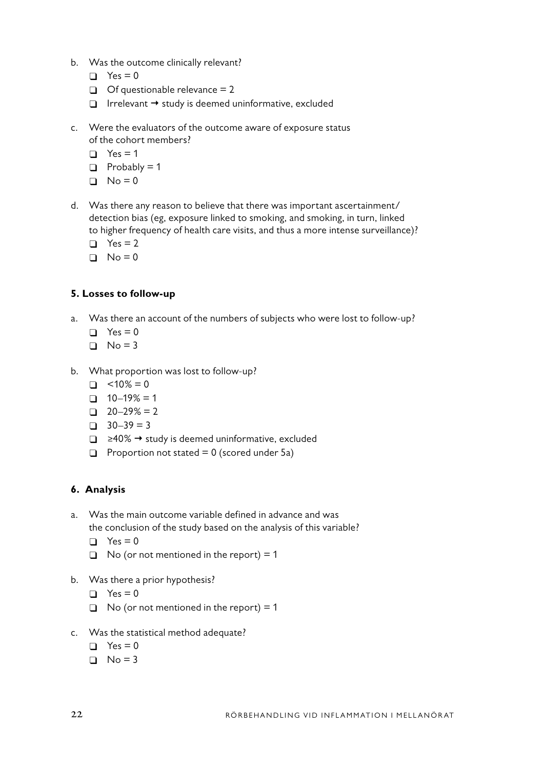- b. Was the outcome clinically relevant?
	- $\Box$  Yes = 0
	- $\Box$  Of questionable relevance = 2
	- $\Box$  Irrelevant  $\rightarrow$  study is deemed uninformative, excluded
- c. Were the evaluators of the outcome aware of exposure status of the cohort members?
	- $\Box$  Yes = 1
	- $\Box$  Probably = 1
	- $\Box$  No = 0
- d. Was there any reason to believe that there was important ascertainment/ detection bias (eg, exposure linked to smoking, and smoking, in turn, linked to higher frequency of health care visits, and thus a more intense surveillance)?
	- $\Box$  Yes = 2
	- $\Box$  No = 0

### **5. Losses to follow-up**

- a. Was there an account of the numbers of subjects who were lost to follow-up?
	- $\Box$  Yes = 0
	- $\Box$  No = 3
- b. What proportion was lost to follow-up?
	- $\Box$  <10% = 0
	- $\Box$  10–19% = 1
	- $\Box$  20–29% = 2
	- $\Box$  30–39 = 3
	- □ ≥40% → study is deemed uninformative, excluded
	- $\Box$  Proportion not stated = 0 (scored under 5a)

## **6. Analysis**

- a. Was the main outcome variable defined in advance and was the conclusion of the study based on the analysis of this variable?
	- $\Box$  Yes = 0
	- $\Box$  No (or not mentioned in the report) = 1
- b. Was there a prior hypothesis?
	- $\Box$  Yes = 0
	- $\Box$  No (or not mentioned in the report) = 1
- c. Was the statistical method adequate?
	- $\Box$  Yes = 0
	- $\Box$  No = 3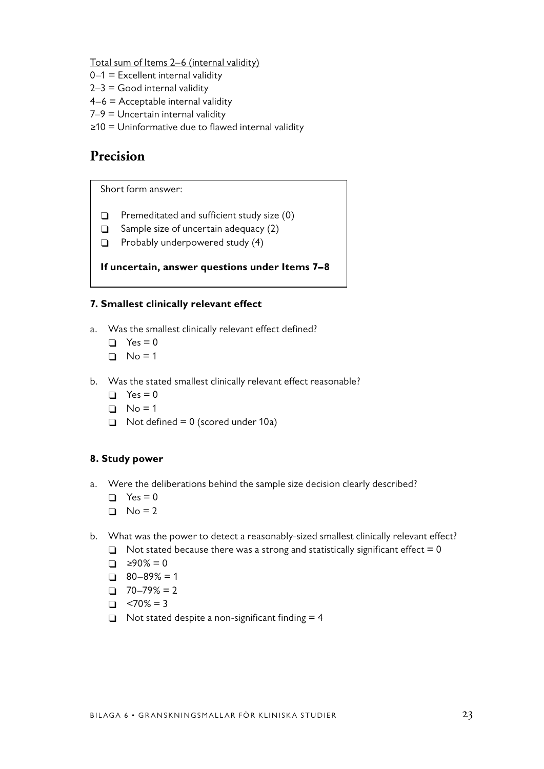Total sum of Items 2–6 (internal validity)

- $0-1$  = Excellent internal validity
- $2-3$  = Good internal validity
- 4–6 = Acceptable internal validity
- 7–9 = Uncertain internal validity
- ≥10 = Uninformative due to flawed internal validity

## **Precision**

Short form answer:

- $\Box$  Premeditated and sufficient study size (0)
- $\Box$  Sample size of uncertain adequacy (2)
- $\Box$  Probably underpowered study (4)

### **If uncertain, answer questions under Items 7–8**

### **7. Smallest clinically relevant effect**

- a. Was the smallest clinically relevant effect defined?
	- $\Box$  Yes = 0
	- $\Box$  No = 1
- b. Was the stated smallest clinically relevant effect reasonable?
	- $\Box$  Yes = 0
	- $\Box$  No = 1
	- $\Box$  Not defined = 0 (scored under 10a)

### **8. Study power**

- a. Were the deliberations behind the sample size decision clearly described?
	- $\Box$  Yes = 0
	- $\Box$  No = 2
- b. What was the power to detect a reasonably-sized smallest clinically relevant effect?
	- $\Box$  Not stated because there was a strong and statistically significant effect = 0
	- $\Box$  ≥90% = 0
	- $\Box$  80–89% = 1
	- $\Box$  70–79% = 2
	- $\Box$  <70% = 3
	- $\Box$  Not stated despite a non-significant finding = 4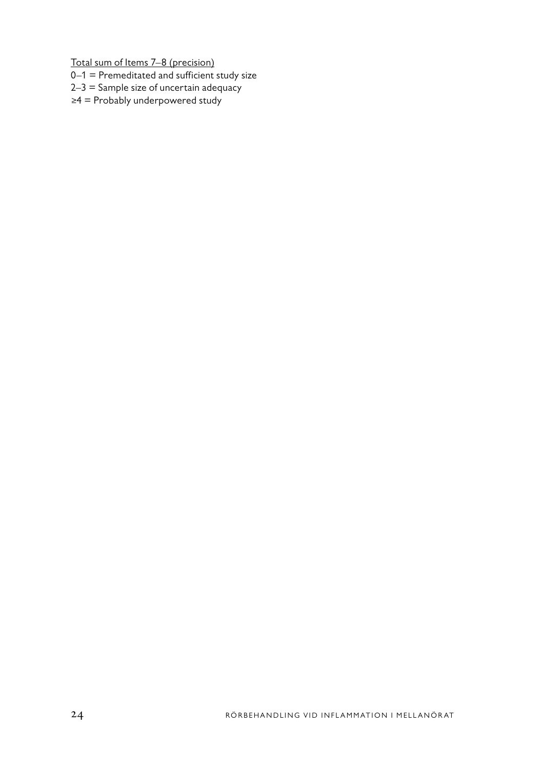Total sum of Items 7–8 (precision)

- 0–1 = Premeditated and sufficient study size
- $2-3$  = Sample size of uncertain adequacy
- ≥4 = Probably underpowered study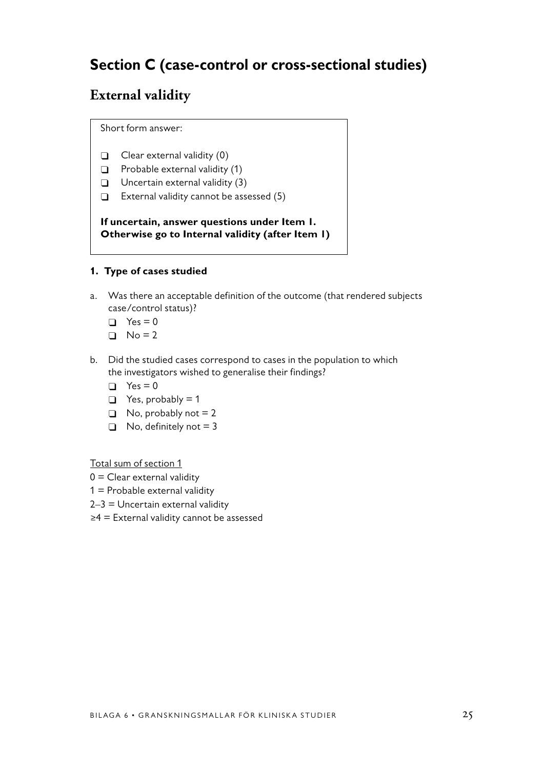# **Section C (case-control or cross-sectional studies)**

# **External validity**

Short form answer:

- $\Box$  Clear external validity (0)
- $\Box$  Probable external validity (1)
- $\Box$  Uncertain external validity (3)
- $\Box$  External validity cannot be assessed (5)

**If uncertain, answer questions under Item 1. Otherwise go to Internal validity (after Item 1)**

### **1. Type of cases studied**

- a. Was there an acceptable definition of the outcome (that rendered subjects case/control status)?
	- $\Box$  Yes = 0
	- $\Box$  No = 2
- b. Did the studied cases correspond to cases in the population to which the investigators wished to generalise their findings?
	- $\Box$  Yes = 0
	- $\Box$  Yes, probably = 1
	- $\Box$  No, probably not = 2
	- $\Box$  No, definitely not = 3

Total sum of section 1

- $0 =$  Clear external validity
- $1$  = Probable external validity
- $2-3$  = Uncertain external validity
- ≥4 = External validity cannot be assessed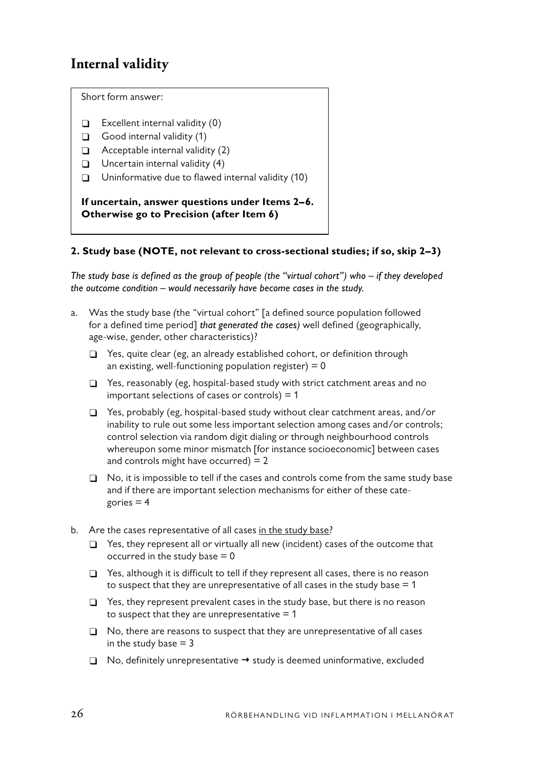## **Internal validity**

Short form answer:

- $\Box$  Excellent internal validity (0)
- $\Box$  Good internal validity (1)
- $\Box$  Acceptable internal validity (2)
- $\Box$  Uncertain internal validity (4)
- $\Box$  Uninformative due to flawed internal validity (10)

**If uncertain, answer questions under Items 2–6. Otherwise go to Precision (after Item 6)**

### **2. Study base (NOTE, not relevant to cross-sectional studies; if so, skip 2–3)**

*The study base is defined as the group of people (the "virtual cohort") who – if they developed the outcome condition – would necessarily have become cases in the study.*

- a. Was the study base *(*the "virtual cohort" [a defined source population followed for a defined time period] *that generated the cases)* well defined (geographically, age-wise, gender, other characteristics)?
	- $\Box$  Yes, quite clear (eg, an already established cohort, or definition through an existing, well-functioning population register)  $= 0$
	- $\Box$  Yes, reasonably (eg, hospital-based study with strict catchment areas and no important selections of cases or controls)  $= 1$
	- $\Box$  Yes, probably (eg, hospital-based study without clear catchment areas, and/or inability to rule out some less important selection among cases and/or controls; control selection via random digit dialing or through neighbourhood controls whereupon some minor mismatch [for instance socioeconomic] between cases and controls might have occurred)  $= 2$
	- $\Box$  No, it is impossible to tell if the cases and controls come from the same study base and if there are important selection mechanisms for either of these categories  $= 4$
- b. Are the cases representative of all cases in the study base?
	- $\Box$  Yes, they represent all or virtually all new (incident) cases of the outcome that occurred in the study base  $= 0$
	- $\Box$  Yes, although it is difficult to tell if they represent all cases, there is no reason to suspect that they are unrepresentative of all cases in the study base  $= 1$
	- $\Box$  Yes, they represent prevalent cases in the study base, but there is no reason to suspect that they are unrepresentative  $= 1$
	- $\Box$  No, there are reasons to suspect that they are unrepresentative of all cases in the study base  $= 3$
	- $\Box$  No, definitely unrepresentative  $\rightarrow$  study is deemed uninformative, excluded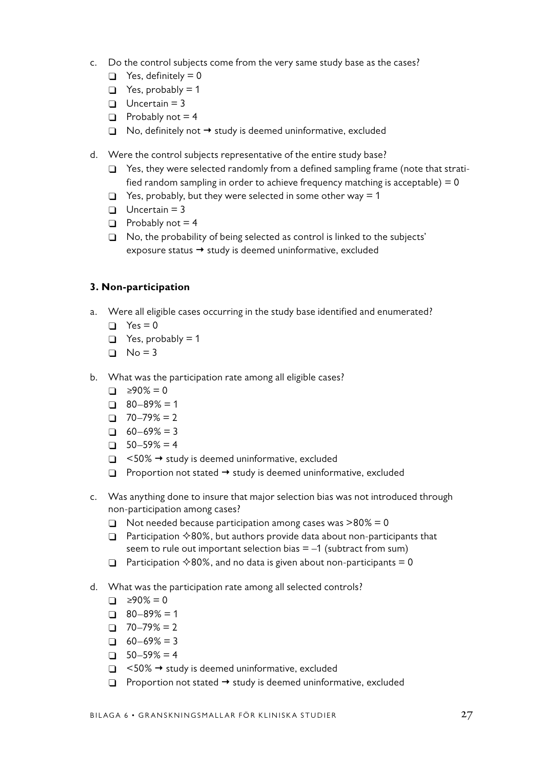- c. Do the control subjects come from the very same study base as the cases?
	- $\Box$  Yes, definitely = 0
	- $\Box$  Yes, probably = 1
	- $\Box$  Uncertain = 3
	- $\Box$  Probably not = 4
	- $\Box$  No, definitely not  $\rightarrow$  study is deemed uninformative, excluded
- d. Were the control subjects representative of the entire study base?
	- □ Yes, they were selected randomly from a defined sampling frame (note that stratified random sampling in order to achieve frequency matching is acceptable)  $= 0$
	- $\Box$  Yes, probably, but they were selected in some other way = 1
	- $\Box$  Uncertain = 3
	- $\Box$  Probably not = 4
	- $\Box$  No, the probability of being selected as control is linked to the subjects' exposure status  $\rightarrow$  study is deemed uninformative, excluded

### **3. Non-participation**

- a. Were all eligible cases occurring in the study base identified and enumerated?
	- $\Box$  Yes = 0
	- $\Box$  Yes, probably = 1
	- $\Box$  No = 3
- b. What was the participation rate among all eligible cases?
	- $\Box$  ≥90% = 0
	- $\Box$  80–89% = 1
	- $\Box$  70–79% = 2
	- $\Box$  60–69% = 3
	- $\Box$  50–59% = 4
	- $\Box$  <50%  $\rightarrow$  study is deemed uninformative, excluded
	- $\Box$  Proportion not stated  $\rightarrow$  study is deemed uninformative, excluded
- c. Was anything done to insure that major selection bias was not introduced through non-participation among cases?
	- $\Box$  Not needed because participation among cases was >80% = 0
	- $\Box$  Participation  $\Diamond$ 80%, but authors provide data about non-participants that seem to rule out important selection bias  $= -1$  (subtract from sum)
	- □ Participation  $\diamond$ 80%, and no data is given about non-participants = 0
- d. What was the participation rate among all selected controls?
	- $\Box$  ≥90% = 0
	- $\Box$  80–89% = 1
	- $\Box$  70–79% = 2
	- $\Box$  60–69% = 3
	- $\Box$  50–59% = 4
	- $\Box$  <50%  $\rightarrow$  study is deemed uninformative, excluded
	- $\Box$  Proportion not stated  $\rightarrow$  study is deemed uninformative, excluded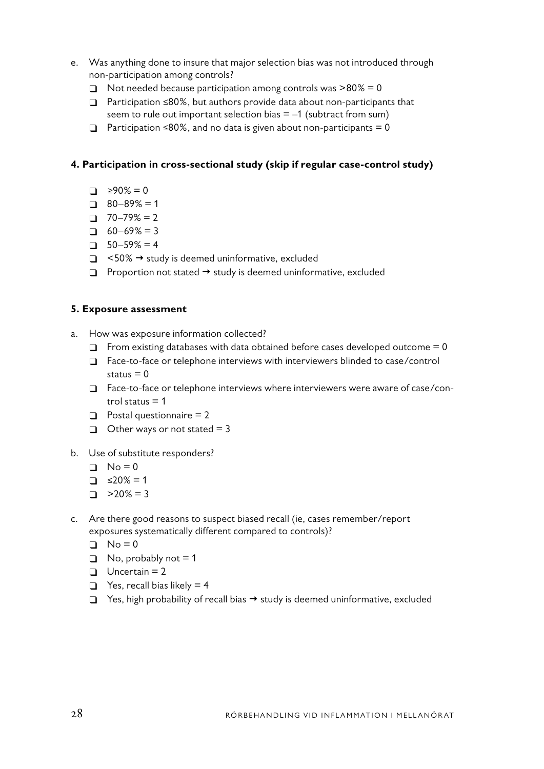- e. Was anything done to insure that major selection bias was not introduced through non-participation among controls?
	- $\Box$  Not needed because participation among controls was  $>80\% = 0$
	- Participation ≤80%, but authors provide data about non-participants that seem to rule out important selection bias  $= -1$  (subtract from sum)
	- $\Box$  Participation ≤80%, and no data is given about non-participants = 0

### **4. Participation in cross-sectional study (skip if regular case-control study)**

- $\Box$  ≥90% = 0
- $\Box$  80–89% = 1
- $\Box$  70–79% = 2
- $\Box$  60–69% = 3
- $\Box$  50–59% = 4
- $\Box$  <50%  $\rightarrow$  study is deemed uninformative, excluded
- $\Box$  Proportion not stated  $\rightarrow$  study is deemed uninformative, excluded

#### **5. Exposure assessment**

- a. How was exposure information collected?
	- $\Box$  From existing databases with data obtained before cases developed outcome = 0
	- $\Box$  Face-to-face or telephone interviews with interviewers blinded to case/control status  $= 0$
	- $\Box$  Face-to-face or telephone interviews where interviewers were aware of case/control status  $= 1$
	- $\Box$  Postal questionnaire = 2
	- $\Box$  Other ways or not stated = 3
- b. Use of substitute responders?
	- $\Box$  No = 0
	- $\Box$   $\leq 20\% = 1$
	- $\Box$  >20% = 3
- c. Are there good reasons to suspect biased recall (ie, cases remember/report exposures systematically different compared to controls)?
	- $\Box$  No = 0
	- $\Box$  No, probably not = 1
	- $\Box$  Uncertain = 2
	- $\Box$  Yes, recall bias likely = 4
	- $\Box$  Yes, high probability of recall bias  $\rightarrow$  study is deemed uninformative, excluded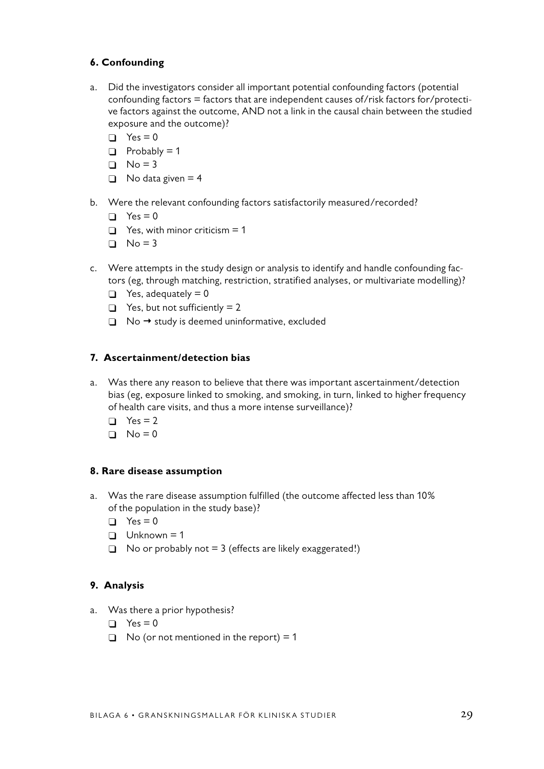## **6. Confounding**

- a. Did the investigators consider all important potential confounding factors (potential confounding factors = factors that are independent causes of/risk factors for/protective factors against the outcome, AND not a link in the causal chain between the studied exposure and the outcome)?
	- $\Box$  Yes = 0
	- $\Box$  Probably = 1
	- $\Box$  No = 3
	- $\Box$  No data given = 4
- b. Were the relevant confounding factors satisfactorily measured/recorded?
	- $\Box$  Yes = 0
	- $\Box$  Yes, with minor criticism = 1
	- $\Box$  No = 3
- c. Were attempts in the study design or analysis to identify and handle confounding factors (eg, through matching, restriction, stratified analyses, or multivariate modelling)?
	- $\Box$  Yes, adequately = 0
	- $\Box$  Yes, but not sufficiently = 2
	- $\Box$  No  $\rightarrow$  study is deemed uninformative, excluded

### **7. Ascertainment/detection bias**

- a. Was there any reason to believe that there was important ascertainment/detection bias (eg, exposure linked to smoking, and smoking, in turn, linked to higher frequency of health care visits, and thus a more intense surveillance)?
	- $\Box$  Yes = 2
	- $\Box$  No = 0

#### **8. Rare disease assumption**

- a. Was the rare disease assumption fulfilled (the outcome affected less than 10% of the population in the study base)?
	- $\Box$  Yes = 0
	- $\Box$  Unknown = 1
	- $\Box$  No or probably not = 3 (effects are likely exaggerated!)

### **9. Analysis**

- a. Was there a prior hypothesis?
	- $\Box$  Yes = 0
	- $\Box$  No (or not mentioned in the report) = 1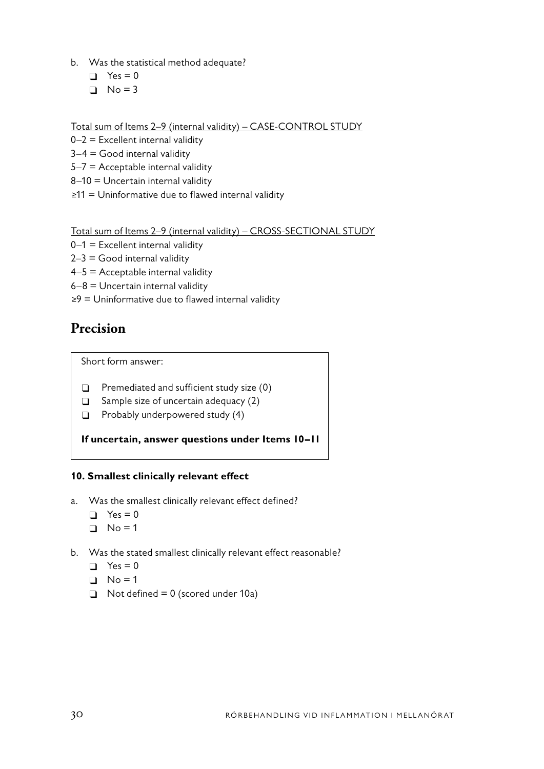- b. Was the statistical method adequate?
	- $\Box$  Yes = 0
	- $\Box$  No = 3

Total sum of Items 2–9 (internal validity) – CASE-CONTROL STUDY

- $0-2$  = Excellent internal validity
- $3-4$  = Good internal validity
- $5-7$  = Acceptable internal validity
- 8–10 = Uncertain internal validity
- ≥11 = Uninformative due to flawed internal validity

Total sum of Items 2–9 (internal validity) – CROSS-SECTIONAL STUDY

- $0-1$  = Excellent internal validity
- $2-3$  = Good internal validity
- $4-5$  = Acceptable internal validity
- $6-8$  = Uncertain internal validity
- ≥9 = Uninformative due to flawed internal validity

# **Precision**

Short form answer:

- $\Box$  Premediated and sufficient study size (0)
- $\Box$  Sample size of uncertain adequacy (2)
- $\Box$  Probably underpowered study (4)

**If uncertain, answer questions under Items 10–11**

## **10. Smallest clinically relevant effect**

- a. Was the smallest clinically relevant effect defined?
	- $\Box$  Yes = 0
	- $\Box$  No = 1
- b. Was the stated smallest clinically relevant effect reasonable?
	- $\Box$  Yes = 0
	- $\Box$  No = 1
	- $\Box$  Not defined = 0 (scored under 10a)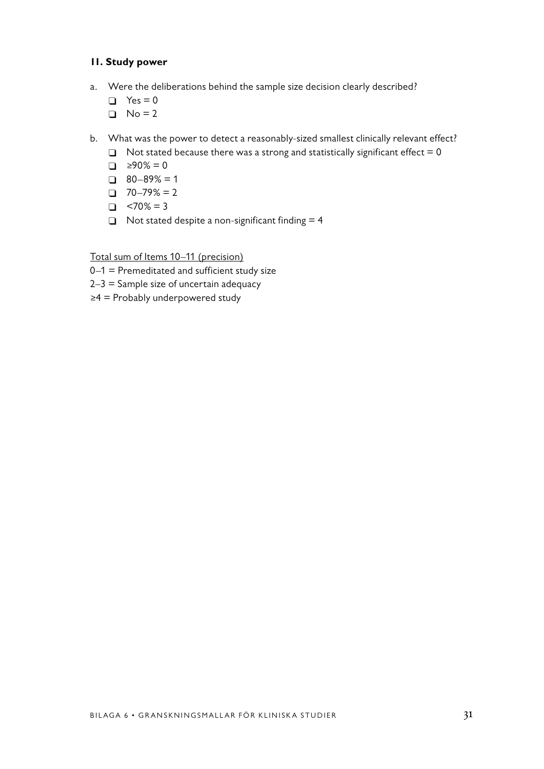### **11. Study power**

- a. Were the deliberations behind the sample size decision clearly described?
	- $\Box$  Yes = 0
	- $\Box$  No = 2
- b. What was the power to detect a reasonably-sized smallest clinically relevant effect?
	- $\Box$  Not stated because there was a strong and statistically significant effect = 0
	- $\Box$  ≥90% = 0
	- $\Box$  80–89% = 1
	- $\Box$  70–79% = 2
	- $\Box$  <70% = 3
	- $\Box$  Not stated despite a non-significant finding = 4

Total sum of Items 10–11 (precision)

- 0–1 = Premeditated and sufficient study size
- $2-3$  = Sample size of uncertain adequacy
- ≥4 = Probably underpowered study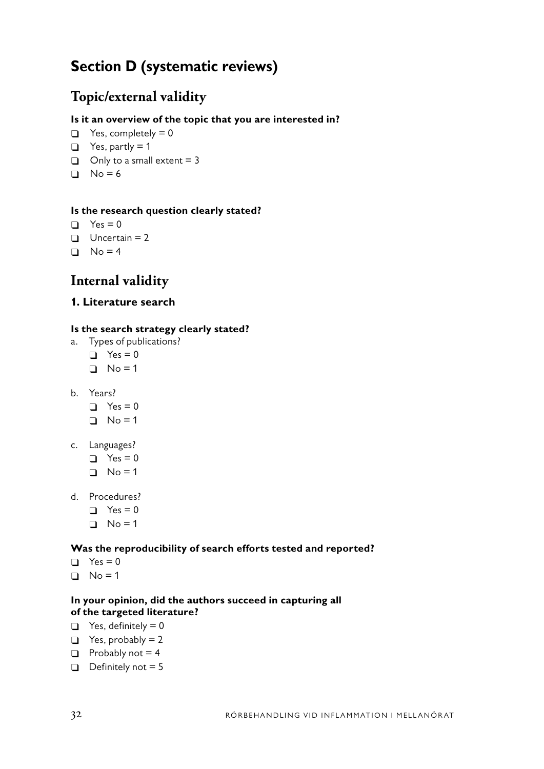# **Section D (systematic reviews)**

# **Topic/external validity**

## **Is it an overview of the topic that you are interested in?**

- $\Box$  Yes, completely = 0
- $\Box$  Yes, partly = 1
- $\Box$  Only to a small extent = 3
- $N_0 = 6$

### **Is the research question clearly stated?**

- $\Box$  Yes = 0
- $\Box$  Uncertain = 2
- $\Box$  No = 4

# **Internal validity**

## **1. Literature search**

### **Is the search strategy clearly stated?**

- a. Types of publications?
	- $\Box$  Yes = 0
	- $\Box$  No = 1
- b. Years?
	- $\Box$  Yes = 0
	- $\Box$  No = 1
- c. Languages?
	- $\Box$  Yes = 0
	- $\Box$  No = 1
- d. Procedures?
	- $\Box$  Yes = 0
	- $\Box$  No = 1

### **Was the reproducibility of search efforts tested and reported?**

- $\Box$  Yes = 0
- $\Box$  No = 1

### **In your opinion, did the authors succeed in capturing all of the targeted literature?**

- $\Box$  Yes, definitely = 0
- $\Box$  Yes, probably = 2
- $\Box$  Probably not = 4
- $\Box$  Definitely not = 5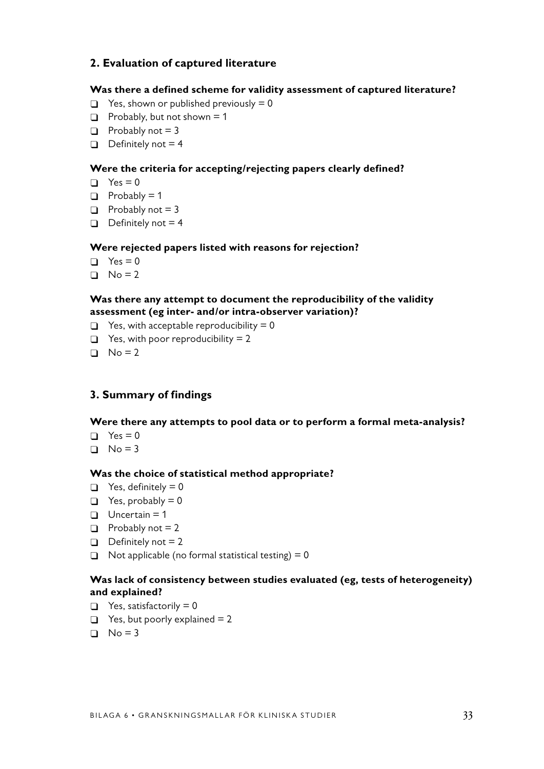## **2. Evaluation of captured literature**

#### **Was there a defined scheme for validity assessment of captured literature?**

- $\Box$  Yes, shown or published previously = 0
- $\Box$  Probably, but not shown = 1
- $\Box$  Probably not = 3
- $\Box$  Definitely not = 4

### **Were the criteria for accepting/rejecting papers clearly defined?**

- $\Box$  Yes = 0
- $\Box$  Probably = 1
- $\Box$  Probably not = 3
- $\Box$  Definitely not = 4

### **Were rejected papers listed with reasons for rejection?**

- $\Box$  Yes = 0
- $\Box$  No = 2

#### **Was there any attempt to document the reproducibility of the validity assessment (eg inter- and/or intra-observer variation)?**

- $\Box$  Yes, with acceptable reproducibility = 0
- $\Box$  Yes, with poor reproducibility = 2
- $\Box$  No = 2

### **3. Summary of findings**

#### **Were there any attempts to pool data or to perform a formal meta-analysis?**

- $\Box$  Yes = 0
- $\Box$  No = 3

#### **Was the choice of statistical method appropriate?**

- $\Box$  Yes, definitely = 0
- $\Box$  Yes, probably = 0
- $\Box$  Uncertain = 1
- $\Box$  Probably not = 2
- $\Box$  Definitely not = 2
- $\Box$  Not applicable (no formal statistical testing) = 0

### **Was lack of consistency between studies evaluated (eg, tests of heterogeneity) and explained?**

- $\Box$  Yes, satisfactorily = 0
- $\Box$  Yes, but poorly explained = 2
- $\Box$  No = 3